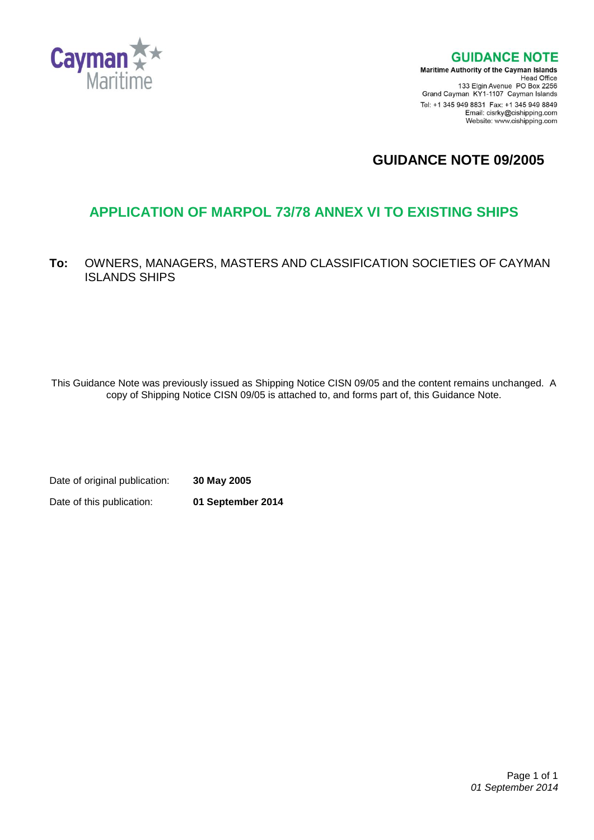

**GUIDANCE NOTE** 

**Maritime Authority of the Cayman Islands** Head Office<br>Head Office<br>133 Elgin Avenue PO Box 2256 Grand Cayman KY1-1107 Cayman Islands Tel: +1 345 949 8831 Fax: +1 345 949 8849 Email: cisrky@cishipping.com Website: www.cishipping.com

# **GUIDANCE NOTE 09/2005**

# **APPLICATION OF MARPOL 73/78 ANNEX VI TO EXISTING SHIPS**

**To:** OWNERS, MANAGERS, MASTERS AND CLASSIFICATION SOCIETIES OF CAYMAN ISLANDS SHIPS

This Guidance Note was previously issued as Shipping Notice CISN 09/05 and the content remains unchanged. A copy of Shipping Notice CISN 09/05 is attached to, and forms part of, this Guidance Note.

Date of original publication: **30 May 2005**

Date of this publication: **01 September 2014**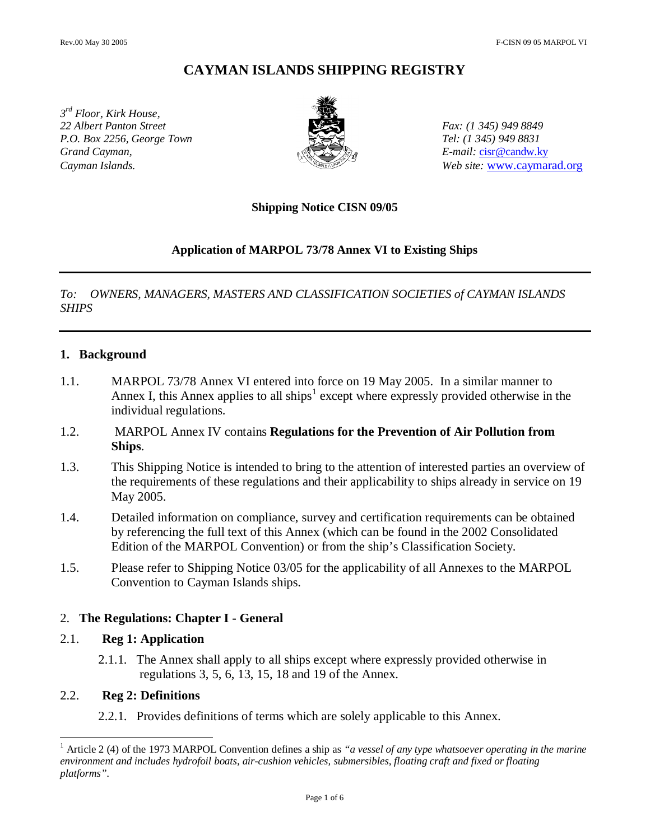## **CAYMAN ISLANDS SHIPPING REGISTRY**

*3 rd Floor, Kirk House, 22 Albert Panton Street Fax: (1 345) 949 8849 P.O. Box 2256, George Town* Tel: (1 345) 949 8831 *Grand Cayman,*  $E$ -mail: cisr@candw.ky



*Cayman Islands. Web site:* www.caymarad.org

## **Shipping Notice CISN 09/05**

#### **Application of MARPOL 73/78 Annex VI to Existing Ships**

*To: OWNERS, MANAGERS, MASTERS AND CLASSIFICATION SOCIETIES of CAYMAN ISLANDS SHIPS*

#### **1. Background**

- 1.1. MARPOL 73/78 Annex VI entered into force on 19 May 2005. In a similar manner to Annex I, this Annex applies to all ships<sup>1</sup> except where expressly provided otherwise in the individual regulations.
- 1.2. MARPOL Annex IV contains **Regulations for the Prevention of Air Pollution from Ships**.
- 1.3. This Shipping Notice is intended to bring to the attention of interested parties an overview of the requirements of these regulations and their applicability to ships already in service on 19 May 2005.
- 1.4. Detailed information on compliance, survey and certification requirements can be obtained by referencing the full text of this Annex (which can be found in the 2002 Consolidated Edition of the MARPOL Convention) or from the ship's Classification Society.
- 1.5. Please refer to Shipping Notice 03/05 for the applicability of all Annexes to the MARPOL Convention to Cayman Islands ships.

#### 2. **The Regulations: Chapter I - General**

#### 2.1. **Reg 1: Application**

2.1.1. The Annex shall apply to all ships except where expressly provided otherwise in regulations 3, 5, 6, 13, 15, 18 and 19 of the Annex.

#### 2.2. **Reg 2: Definitions**

2.2.1. Provides definitions of terms which are solely applicable to this Annex.

<sup>&</sup>lt;sup>1</sup> Article 2 (4) of the 1973 MARPOL Convention defines a ship as "a vessel of any type whatsoever operating in the marine *environment and includes hydrofoil boats, air-cushion vehicles, submersibles, floating craft and fixed or floating platforms"*.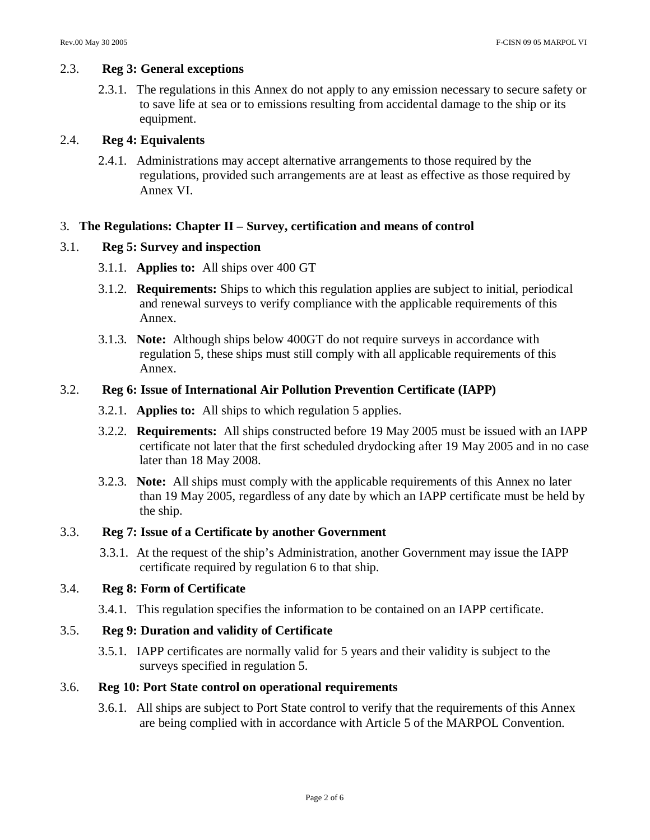#### 2.3. **Reg 3: General exceptions**

2.3.1. The regulations in this Annex do not apply to any emission necessary to secure safety or to save life at sea or to emissions resulting from accidental damage to the ship or its equipment.

## 2.4. **Reg 4: Equivalents**

2.4.1. Administrations may accept alternative arrangements to those required by the regulations, provided such arrangements are at least as effective as those required by Annex VI.

## 3. **The Regulations: Chapter II – Survey, certification and means of control**

#### 3.1. **Reg 5: Survey and inspection**

- 3.1.1. **Applies to:** All ships over 400 GT
- 3.1.2. **Requirements:** Ships to which this regulation applies are subject to initial, periodical and renewal surveys to verify compliance with the applicable requirements of this Annex.
- 3.1.3. **Note:** Although ships below 400GT do not require surveys in accordance with regulation 5, these ships must still comply with all applicable requirements of this Annex.

#### 3.2. **Reg 6: Issue of International Air Pollution Prevention Certificate (IAPP)**

- 3.2.1. **Applies to:** All ships to which regulation 5 applies.
- 3.2.2. **Requirements:** All ships constructed before 19 May 2005 must be issued with an IAPP certificate not later that the first scheduled drydocking after 19 May 2005 and in no case later than 18 May 2008.
- 3.2.3. **Note:** All ships must comply with the applicable requirements of this Annex no later than 19 May 2005, regardless of any date by which an IAPP certificate must be held by the ship.

#### 3.3. **Reg 7: Issue of a Certificate by another Government**

3.3.1. At the request of the ship's Administration, another Government may issue the IAPP certificate required by regulation 6 to that ship.

#### 3.4. **Reg 8: Form of Certificate**

3.4.1. This regulation specifies the information to be contained on an IAPP certificate.

#### 3.5. **Reg 9: Duration and validity of Certificate**

3.5.1. IAPP certificates are normally valid for 5 years and their validity is subject to the surveys specified in regulation 5.

#### 3.6. **Reg 10: Port State control on operational requirements**

3.6.1. All ships are subject to Port State control to verify that the requirements of this Annex are being complied with in accordance with Article 5 of the MARPOL Convention.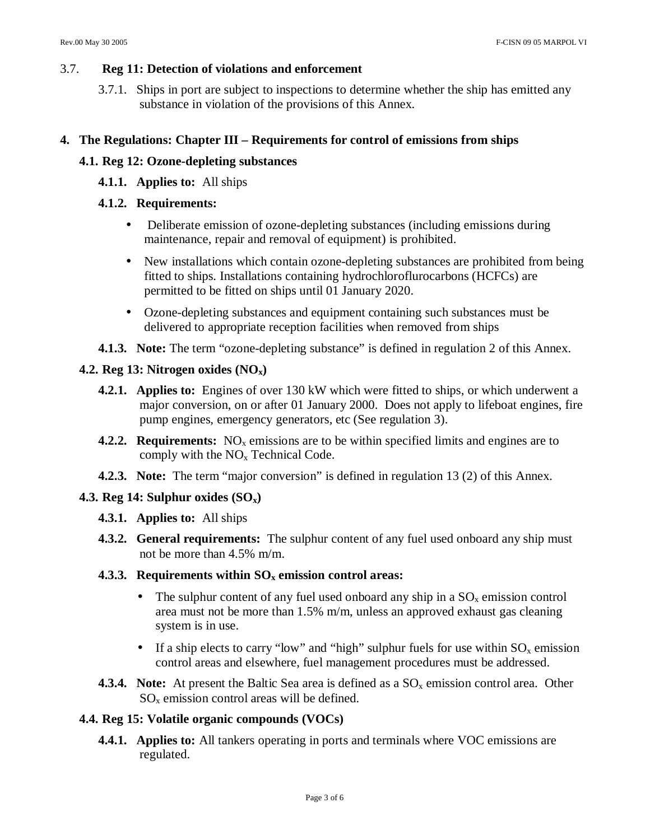## 3.7. **Reg 11: Detection of violations and enforcement**

3.7.1. Ships in port are subject to inspections to determine whether the ship has emitted any substance in violation of the provisions of this Annex.

## **4. The Regulations: Chapter III – Requirements for control of emissions from ships**

## **4.1. Reg 12: Ozone-depleting substances**

**4.1.1. Applies to:** All ships

## **4.1.2. Requirements:**

- Deliberate emission of ozone-depleting substances (including emissions during maintenance, repair and removal of equipment) is prohibited.
- New installations which contain ozone-depleting substances are prohibited from being fitted to ships. Installations containing hydrochloroflurocarbons (HCFCs) are permitted to be fitted on ships until 01 January 2020.
- Ozone-depleting substances and equipment containing such substances must be delivered to appropriate reception facilities when removed from ships
- **4.1.3.** Note: The term "ozone-depleting substance" is defined in regulation 2 of this Annex.

## **4.2. Reg 13: Nitrogen oxides (NOx)**

- **4.2.1. Applies to:** Engines of over 130 kW which were fitted to ships, or which underwent a major conversion, on or after 01 January 2000. Does not apply to lifeboat engines, fire pump engines, emergency generators, etc (See regulation 3).
- **4.2.2. Requirements:**  $NO_x$  emissions are to be within specified limits and engines are to comply with the  $NO<sub>x</sub>$  Technical Code.
- **4.2.3. Note:** The term "major conversion" is defined in regulation 13 (2) of this Annex.

## **4.3. Reg 14: Sulphur oxides (SOx)**

- **4.3.1. Applies to:** All ships
- **4.3.2. General requirements:** The sulphur content of any fuel used onboard any ship must not be more than 4.5% m/m.

## **4.3.3. Requirements within SOx emission control areas:**

- The sulphur content of any fuel used onboard any ship in a  $SO_x$  emission control area must not be more than 1.5% m/m, unless an approved exhaust gas cleaning system is in use.
- If a ship elects to carry "low" and "high" sulphur fuels for use within  $SO_x$  emission control areas and elsewhere, fuel management procedures must be addressed.
- **4.3.4.** Note: At present the Baltic Sea area is defined as a  $SO<sub>x</sub>$  emission control area. Other  $SO<sub>x</sub>$  emission control areas will be defined.

## **4.4. Reg 15: Volatile organic compounds (VOCs)**

**4.4.1. Applies to:** All tankers operating in ports and terminals where VOC emissions are regulated.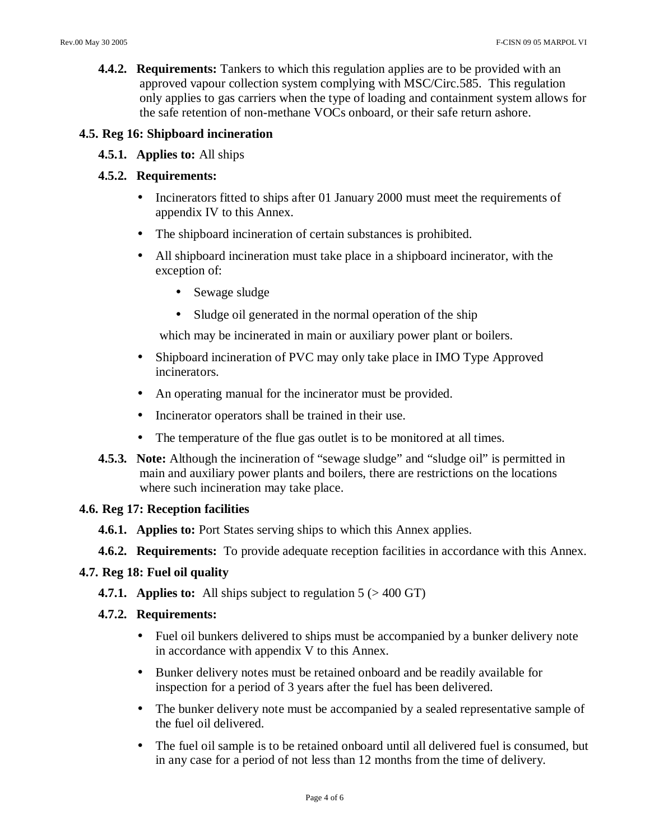**4.4.2. Requirements:** Tankers to which this regulation applies are to be provided with an approved vapour collection system complying with MSC/Circ.585. This regulation only applies to gas carriers when the type of loading and containment system allows for the safe retention of non-methane VOCs onboard, or their safe return ashore.

#### **4.5. Reg 16: Shipboard incineration**

**4.5.1. Applies to:** All ships

#### **4.5.2. Requirements:**

- Incinerators fitted to ships after 01 January 2000 must meet the requirements of appendix IV to this Annex.
- The shipboard incineration of certain substances is prohibited.
- All shipboard incineration must take place in a shipboard incinerator, with the exception of:
	- Sewage sludge
	- Sludge oil generated in the normal operation of the ship

which may be incinerated in main or auxiliary power plant or boilers.

- Shipboard incineration of PVC may only take place in IMO Type Approved incinerators.
- An operating manual for the incinerator must be provided.
- Incinerator operators shall be trained in their use.
- The temperature of the flue gas outlet is to be monitored at all times.
- **4.5.3.** Note: Although the incineration of "sewage sludge" and "sludge oil" is permitted in main and auxiliary power plants and boilers, there are restrictions on the locations where such incineration may take place.

#### **4.6. Reg 17: Reception facilities**

- **4.6.1. Applies to:** Port States serving ships to which this Annex applies.
- **4.6.2. Requirements:** To provide adequate reception facilities in accordance with this Annex.

#### **4.7. Reg 18: Fuel oil quality**

- **4.7.1. Applies to:** All ships subject to regulation 5 (> 400 GT)
- **4.7.2. Requirements:**
	- Fuel oil bunkers delivered to ships must be accompanied by a bunker delivery note in accordance with appendix V to this Annex.
	- Bunker delivery notes must be retained onboard and be readily available for inspection for a period of 3 years after the fuel has been delivered.
	- The bunker delivery note must be accompanied by a sealed representative sample of the fuel oil delivered.
	- The fuel oil sample is to be retained onboard until all delivered fuel is consumed, but in any case for a period of not less than 12 months from the time of delivery.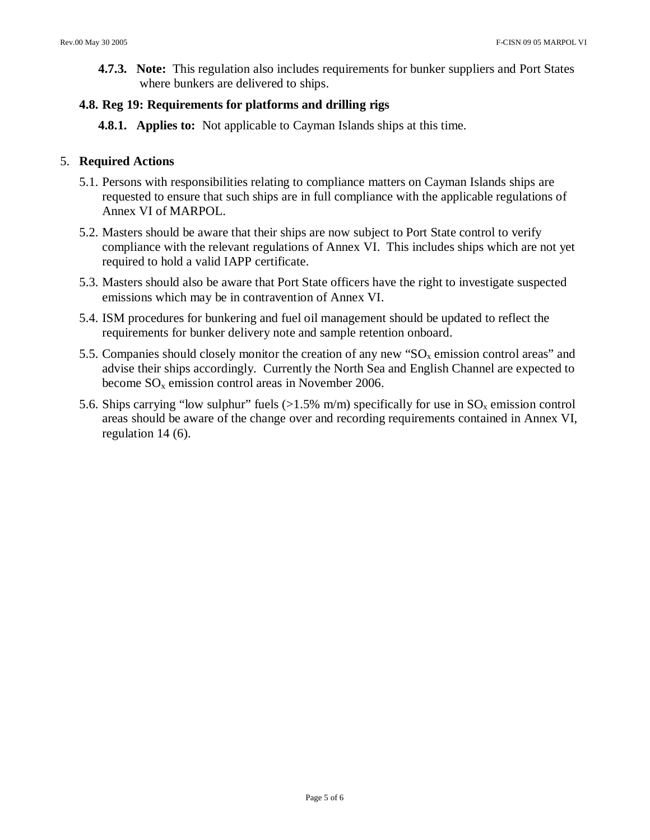**4.7.3. Note:** This regulation also includes requirements for bunker suppliers and Port States where bunkers are delivered to ships.

#### **4.8. Reg 19: Requirements for platforms and drilling rigs**

**4.8.1. Applies to:** Not applicable to Cayman Islands ships at this time.

#### 5. **Required Actions**

- 5.1. Persons with responsibilities relating to compliance matters on Cayman Islands ships are requested to ensure that such ships are in full compliance with the applicable regulations of Annex VI of MARPOL.
- 5.2. Masters should be aware that their ships are now subject to Port State control to verify compliance with the relevant regulations of Annex VI. This includes ships which are not yet required to hold a valid IAPP certificate.
- 5.3. Masters should also be aware that Port State officers have the right to investigate suspected emissions which may be in contravention of Annex VI.
- 5.4. ISM procedures for bunkering and fuel oil management should be updated to reflect the requirements for bunker delivery note and sample retention onboard.
- 5.5. Companies should closely monitor the creation of any new " $SO<sub>x</sub>$  emission control areas" and advise their ships accordingly. Currently the North Sea and English Channel are expected to become  $SO_x$  emission control areas in November 2006.
- 5.6. Ships carrying "low sulphur" fuels  $(>1.5\%$  m/m) specifically for use in SO<sub>x</sub> emission control areas should be aware of the change over and recording requirements contained in Annex VI, regulation 14 (6).